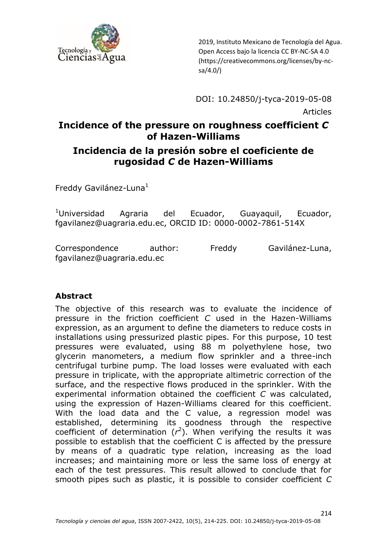

DOI: 10.24850/j-tyca-2019-05-08 Articles

# **Incidence of the pressure on roughness coefficient** *C* **of Hazen-Williams**

#### **Incidencia de la presión sobre el coeficiente de rugosidad** *C* **de Hazen-Williams**

Freddy Gavilánez-Luna $<sup>1</sup>$ </sup>

 $1$ Universidad Agraria del Ecuador, Guayaquil, Ecuador, fgavilanez@uagraria.edu.ec, ORCID ID: 0000-0002-7861-514X

Correspondence author: Freddy Gavilánez-Luna, fgavilanez@uagraria.edu.ec

#### **Abstract**

The objective of this research was to evaluate the incidence of pressure in the friction coefficient *C* used in the Hazen-Williams expression, as an argument to define the diameters to reduce costs in installations using pressurized plastic pipes. For this purpose, 10 test pressures were evaluated, using 88 m polyethylene hose, two glycerin manometers, a medium flow sprinkler and a three-inch centrifugal turbine pump. The load losses were evaluated with each pressure in triplicate, with the appropriate altimetric correction of the surface, and the respective flows produced in the sprinkler. With the experimental information obtained the coefficient *C* was calculated, using the expression of Hazen-Williams cleared for this coefficient. With the load data and the C value, a regression model was established, determining its goodness through the respective coefficient of determination  $(r^2)$ . When verifying the results it was possible to establish that the coefficient C is affected by the pressure by means of a quadratic type relation, increasing as the load increases; and maintaining more or less the same loss of energy at each of the test pressures. This result allowed to conclude that for smooth pipes such as plastic, it is possible to consider coefficient *C*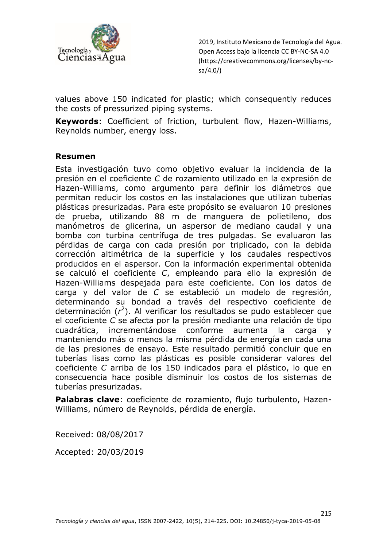

values above 150 indicated for plastic; which consequently reduces the costs of pressurized piping systems.

**Keywords**: Coefficient of friction, turbulent flow, Hazen-Williams, Reynolds number, energy loss.

#### **Resumen**

Esta investigación tuvo como objetivo evaluar la incidencia de la presión en el coeficiente *C* de rozamiento utilizado en la expresión de Hazen-Williams, como argumento para definir los diámetros que permitan reducir los costos en las instalaciones que utilizan tuberías plásticas presurizadas. Para este propósito se evaluaron 10 presiones de prueba, utilizando 88 m de manguera de polietileno, dos manómetros de glicerina, un aspersor de mediano caudal y una bomba con turbina centrífuga de tres pulgadas. Se evaluaron las pérdidas de carga con cada presión por triplicado, con la debida corrección altimétrica de la superficie y los caudales respectivos producidos en el aspersor. Con la información experimental obtenida se calculó el coeficiente *C*, empleando para ello la expresión de Hazen-Williams despejada para este coeficiente. Con los datos de carga y del valor de *C* se estableció un modelo de regresión, determinando su bondad a través del respectivo coeficiente de determinación (*r* 2 ). Al verificar los resultados se pudo establecer que el coeficiente *C* se afecta por la presión mediante una relación de tipo cuadrática, incrementándose conforme aumenta la carga y manteniendo más o menos la misma pérdida de energía en cada una de las presiones de ensayo. Este resultado permitió concluir que en tuberías lisas como las plásticas es posible considerar valores del coeficiente *C* arriba de los 150 indicados para el plástico, lo que en consecuencia hace posible disminuir los costos de los sistemas de tuberías presurizadas.

**Palabras clave**: coeficiente de rozamiento, flujo turbulento, Hazen-Williams, número de Reynolds, pérdida de energía.

Received: 08/08/2017

Accepted: 20/03/2019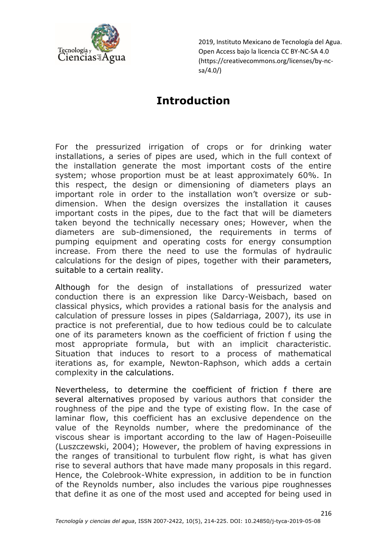

## **Introduction**

For the pressurized irrigation of crops or for drinking water installations, a series of pipes are used, which in the full context of the installation generate the most important costs of the entire system; whose proportion must be at least approximately 60%. In this respect, the design or dimensioning of diameters plays an important role in order to the installation won't oversize or subdimension. When the design oversizes the installation it causes important costs in the pipes, due to the fact that will be diameters taken beyond the technically necessary ones; However, when the diameters are sub-dimensioned, the requirements in terms of pumping equipment and operating costs for energy consumption increase. From there the need to use the formulas of hydraulic calculations for the design of pipes, together with their parameters, suitable to a certain reality.

Although for the design of installations of pressurized water conduction there is an expression like Darcy-Weisbach, based on classical physics, which provides a rational basis for the analysis and calculation of pressure losses in pipes (Saldarriaga, 2007), its use in practice is not preferential, due to how tedious could be to calculate one of its parameters known as the coefficient of friction f using the most appropriate formula, but with an implicit characteristic. Situation that induces to resort to a process of mathematical iterations as, for example, Newton-Raphson, which adds a certain complexity in the calculations.

Nevertheless, to determine the coefficient of friction f there are several alternatives proposed by various authors that consider the roughness of the pipe and the type of existing flow. In the case of laminar flow, this coefficient has an exclusive dependence on the value of the Reynolds number, where the predominance of the viscous shear is important according to the law of Hagen-Poiseuille (Luszczewski, 2004); However, the problem of having expressions in the ranges of transitional to turbulent flow right, is what has given rise to several authors that have made many proposals in this regard. Hence, the Colebrook-White expression, in addition to be in function of the Reynolds number, also includes the various pipe roughnesses that define it as one of the most used and accepted for being used in

216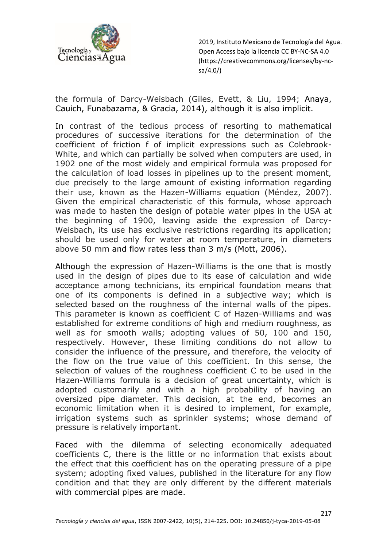

the formula of Darcy-Weisbach (Giles, Evett, & Liu, 1994; Anaya, Cauich, Funabazama, & Gracia, 2014), although it is also implicit.

In contrast of the tedious process of resorting to mathematical procedures of successive iterations for the determination of the coefficient of friction f of implicit expressions such as Colebrook-White, and which can partially be solved when computers are used, in 1902 one of the most widely and empirical formula was proposed for the calculation of load losses in pipelines up to the present moment, due precisely to the large amount of existing information regarding their use, known as the Hazen-Williams equation (Méndez, 2007). Given the empirical characteristic of this formula, whose approach was made to hasten the design of potable water pipes in the USA at the beginning of 1900, leaving aside the expression of Darcy-Weisbach, its use has exclusive restrictions regarding its application; should be used only for water at room temperature, in diameters above 50 mm and flow rates less than 3 m/s (Mott, 2006).

Although the expression of Hazen-Williams is the one that is mostly used in the design of pipes due to its ease of calculation and wide acceptance among technicians, its empirical foundation means that one of its components is defined in a subjective way; which is selected based on the roughness of the internal walls of the pipes. This parameter is known as coefficient C of Hazen-Williams and was established for extreme conditions of high and medium roughness, as well as for smooth walls; adopting values of 50, 100 and 150, respectively. However, these limiting conditions do not allow to consider the influence of the pressure, and therefore, the velocity of the flow on the true value of this coefficient. In this sense, the selection of values of the roughness coefficient C to be used in the Hazen-Williams formula is a decision of great uncertainty, which is adopted customarily and with a high probability of having an oversized pipe diameter. This decision, at the end, becomes an economic limitation when it is desired to implement, for example, irrigation systems such as sprinkler systems; whose demand of pressure is relatively important.

Faced with the dilemma of selecting economically adequated coefficients C, there is the little or no information that exists about the effect that this coefficient has on the operating pressure of a pipe system; adopting fixed values, published in the literature for any flow condition and that they are only different by the different materials with commercial pipes are made.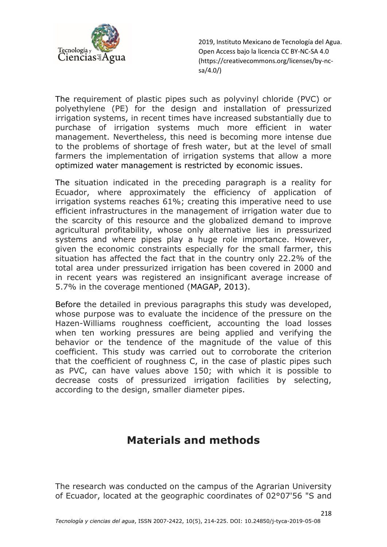

The requirement of plastic pipes such as polyvinyl chloride (PVC) or polyethylene (PE) for the design and installation of pressurized irrigation systems, in recent times have increased substantially due to purchase of irrigation systems much more efficient in water management. Nevertheless, this need is becoming more intense due to the problems of shortage of fresh water, but at the level of small farmers the implementation of irrigation systems that allow a more optimized water management is restricted by economic issues.

The situation indicated in the preceding paragraph is a reality for Ecuador, where approximately the efficiency of application of irrigation systems reaches 61%; creating this imperative need to use efficient infrastructures in the management of irrigation water due to the scarcity of this resource and the globalized demand to improve agricultural profitability, whose only alternative lies in pressurized systems and where pipes play a huge role importance. However, given the economic constraints especially for the small farmer, this situation has affected the fact that in the country only 22.2% of the total area under pressurized irrigation has been covered in 2000 and in recent years was registered an insignificant average increase of 5.7% in the coverage mentioned (MAGAP, 2013).

Before the detailed in previous paragraphs this study was developed, whose purpose was to evaluate the incidence of the pressure on the Hazen-Williams roughness coefficient, accounting the load losses when ten working pressures are being applied and verifying the behavior or the tendence of the magnitude of the value of this coefficient. This study was carried out to corroborate the criterion that the coefficient of roughness C, in the case of plastic pipes such as PVC, can have values above 150; with which it is possible to decrease costs of pressurized irrigation facilities by selecting, according to the design, smaller diameter pipes.

### **Materials and methods**

The research was conducted on the campus of the Agrarian University of Ecuador, located at the geographic coordinates of 02°07'56 "S and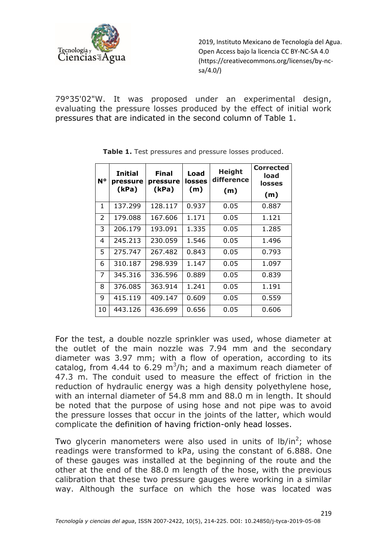

79°35'02"W. It was proposed under an experimental design, evaluating the pressure losses produced by the effect of initial work pressures that are indicated in the second column of Table 1.

| N°           | <b>Initial</b><br>pressure<br>(kPa) | Final<br>pressure<br>(kPa) | Load<br>losses<br>(m) | <b>Height</b><br>difference<br>(m) | <b>Corrected</b><br>load<br>losses<br>(m) |
|--------------|-------------------------------------|----------------------------|-----------------------|------------------------------------|-------------------------------------------|
| $\mathbf{1}$ | 137.299                             | 128.117                    | 0.937                 | 0.05                               | 0.887                                     |
| 2            | 179.088                             | 167.606                    | 1.171                 | 0.05                               | 1.121                                     |
| 3            | 206.179                             | 193.091                    | 1.335                 | 0.05                               | 1.285                                     |
| 4            | 245.213                             | 230.059                    | 1.546                 | 0.05                               | 1.496                                     |
| 5.           | 275.747                             | 267.482                    | 0.843                 | 0.05                               | 0.793                                     |
| 6            | 310.187                             | 298.939                    | 1.147                 | 0.05                               | 1.097                                     |
| 7            | 345.316                             | 336.596                    | 0.889                 | 0.05                               | 0.839                                     |
| 8            | 376.085                             | 363.914                    | 1.241                 | 0.05                               | 1.191                                     |
| 9            | 415.119                             | 409.147                    | 0.609                 | 0.05                               | 0.559                                     |
| 10           | 443.126                             | 436.699                    | 0.656                 | 0.05                               | 0.606                                     |

Table 1. Test pressures and pressure losses produced.

For the test, a double nozzle sprinkler was used, whose diameter at the outlet of the main nozzle was 7.94 mm and the secondary diameter was 3.97 mm; with a flow of operation, according to its catalog, from 4.44 to 6.29 m<sup>3</sup>/h; and a maximum reach diameter of 47.3 m. The conduit used to measure the effect of friction in the reduction of hydraulic energy was a high density polyethylene hose, with an internal diameter of 54.8 mm and 88.0 m in length. It should be noted that the purpose of using hose and not pipe was to avoid the pressure losses that occur in the joints of the latter, which would complicate the definition of having friction-only head losses.

Two glycerin manometers were also used in units of  $lb/in^2$ ; whose readings were transformed to kPa, using the constant of 6.888. One of these gauges was installed at the beginning of the route and the other at the end of the 88.0 m length of the hose, with the previous calibration that these two pressure gauges were working in a similar way. Although the surface on which the hose was located was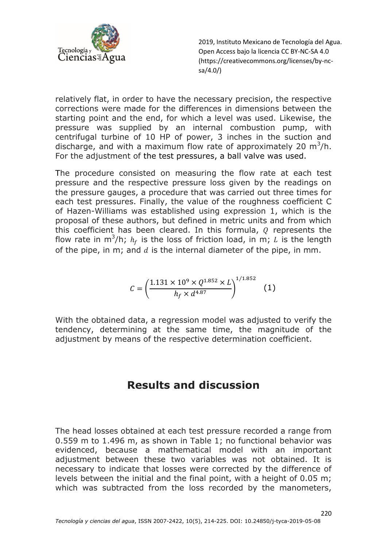

relatively flat, in order to have the necessary precision, the respective corrections were made for the differences in dimensions between the starting point and the end, for which a level was used. Likewise, the pressure was supplied by an internal combustion pump, with centrifugal turbine of 10 HP of power, 3 inches in the suction and discharge, and with a maximum flow rate of approximately 20  $m^3/h$ . For the adjustment of the test pressures, a ball valve was used.

The procedure consisted on measuring the flow rate at each test pressure and the respective pressure loss given by the readings on the pressure gauges, a procedure that was carried out three times for each test pressures. Finally, the value of the roughness coefficient C of Hazen-Williams was established using expression 1, which is the proposal of these authors, but defined in metric units and from which this coefficient has been cleared. In this formula,  $\rho$  represents the flow rate in m<sup>3</sup>/h;  $h_f$  is the loss of friction load, in m; L is the length of the pipe, in m; and  $d$  is the internal diameter of the pipe, in mm.

$$
C = \left(\frac{1.131 \times 10^9 \times Q^{1.852} \times L}{h_f \times d^{4.87}}\right)^{1/1.852} (1)
$$

With the obtained data, a regression model was adjusted to verify the tendency, determining at the same time, the magnitude of the adjustment by means of the respective determination coefficient.

### **Results and discussion**

The head losses obtained at each test pressure recorded a range from 0.559 m to 1.496 m, as shown in Table 1; no functional behavior was evidenced, because a mathematical model with an important adjustment between these two variables was not obtained. It is necessary to indicate that losses were corrected by the difference of levels between the initial and the final point, with a height of 0.05 m; which was subtracted from the loss recorded by the manometers,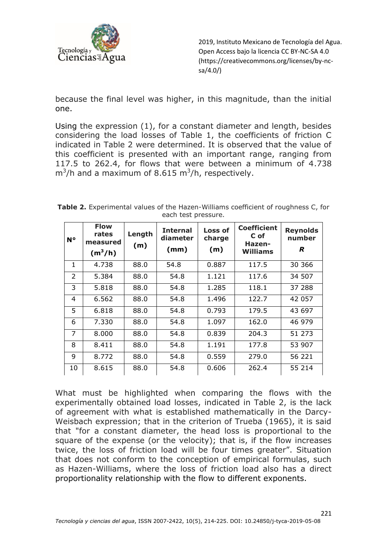

because the final level was higher, in this magnitude, than the initial one.

Using the expression (1), for a constant diameter and length, besides considering the load losses of Table 1, the coefficients of friction C indicated in Table 2 were determined. It is observed that the value of this coefficient is presented with an important range, ranging from 117.5 to 262.4, for flows that were between a minimum of 4.738  $m^3/h$  and a maximum of 8.615 m<sup>3</sup>/h, respectively.

| N°             | <b>Flow</b><br>rates<br>measured<br>$(m^3/h)$ | Length<br>(m) | <b>Internal</b><br>diameter<br>(mm) | <b>Loss of</b><br>charge<br>(m) | <b>Coefficient</b><br>C of<br>Hazen-<br><b>Williams</b> | <b>Reynolds</b><br>number<br>R |
|----------------|-----------------------------------------------|---------------|-------------------------------------|---------------------------------|---------------------------------------------------------|--------------------------------|
| $\mathbf{1}$   | 4.738                                         | 88.0          | 54.8                                | 0.887                           | 117.5                                                   | 30 366                         |
| $\overline{2}$ | 5.384                                         | 88.0          | 54.8                                | 1.121                           | 117.6                                                   | 34 507                         |
| 3              | 5.818                                         | 88.0          | 54.8                                | 1.285                           | 118.1                                                   | 37 288                         |
| 4              | 6.562                                         | 88.0          | 54.8                                | 1.496                           | 122.7                                                   | 42 057                         |
| 5              | 6.818                                         | 88.0          | 54.8                                | 0.793                           | 179.5                                                   | 43 697                         |
| 6              | 7.330                                         | 88.0          | 54.8                                | 1.097                           | 162.0                                                   | 46 979                         |
| 7              | 8.000                                         | 88.0          | 54.8                                | 0.839                           | 204.3                                                   | 51 273                         |
| 8              | 8.411                                         | 88.0          | 54.8                                | 1.191                           | 177.8                                                   | 53 907                         |
| 9              | 8.772                                         | 88.0          | 54.8                                | 0.559                           | 279.0                                                   | 56 221                         |
| 10             | 8.615                                         | 88.0          | 54.8                                | 0.606                           | 262.4                                                   | 55 214                         |

**Table 2.** Experimental values of the Hazen-Williams coefficient of roughness C, for each test pressure.

What must be highlighted when comparing the flows with the experimentally obtained load losses, indicated in Table 2, is the lack of agreement with what is established mathematically in the Darcy-Weisbach expression; that in the criterion of Trueba (1965), it is said that "for a constant diameter, the head loss is proportional to the square of the expense (or the velocity); that is, if the flow increases twice, the loss of friction load will be four times greater". Situation that does not conform to the conception of empirical formulas, such as Hazen-Williams, where the loss of friction load also has a direct proportionality relationship with the flow to different exponents.

221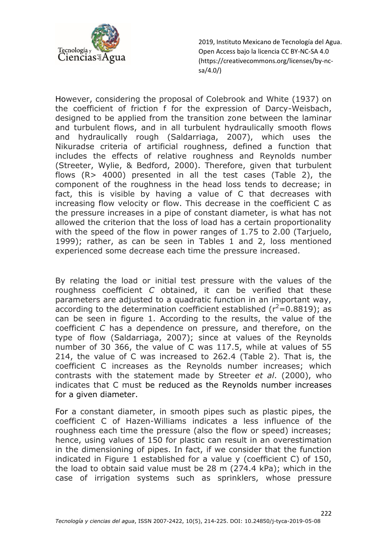

However, considering the proposal of Colebrook and White (1937) on the coefficient of friction f for the expression of Darcy-Weisbach, designed to be applied from the transition zone between the laminar and turbulent flows, and in all turbulent hydraulically smooth flows and hydraulically rough (Saldarriaga, 2007), which uses the Nikuradse criteria of artificial roughness, defined a function that includes the effects of relative roughness and Reynolds number (Streeter, Wylie, & Bedford, 2000). Therefore, given that turbulent flows (R> 4000) presented in all the test cases (Table 2), the component of the roughness in the head loss tends to decrease; in fact, this is visible by having a value of C that decreases with increasing flow velocity or flow. This decrease in the coefficient C as the pressure increases in a pipe of constant diameter, is what has not allowed the criterion that the loss of load has a certain proportionality with the speed of the flow in power ranges of 1.75 to 2.00 (Tarjuelo, 1999); rather, as can be seen in Tables 1 and 2, loss mentioned experienced some decrease each time the pressure increased.

By relating the load or initial test pressure with the values of the roughness coefficient *C* obtained, it can be verified that these parameters are adjusted to a quadratic function in an important way, according to the determination coefficient established ( $r^2$ =0.8819); as can be seen in figure 1. According to the results, the value of the coefficient *C* has a dependence on pressure, and therefore, on the type of flow (Saldarriaga, 2007); since at values of the Reynolds number of 30 366, the value of C was 117.5, while at values of 55 214, the value of C was increased to 262.4 (Table 2). That is, the coefficient C increases as the Reynolds number increases; which contrasts with the statement made by Streeter *et al*. (2000), who indicates that C must be reduced as the Reynolds number increases for a given diameter.

For a constant diameter, in smooth pipes such as plastic pipes, the coefficient C of Hazen-Williams indicates a less influence of the roughness each time the pressure (also the flow or speed) increases; hence, using values of 150 for plastic can result in an overestimation in the dimensioning of pipes. In fact, if we consider that the function indicated in Figure 1 established for a value y (coefficient C) of 150, the load to obtain said value must be 28 m (274.4 kPa); which in the case of irrigation systems such as sprinklers, whose pressure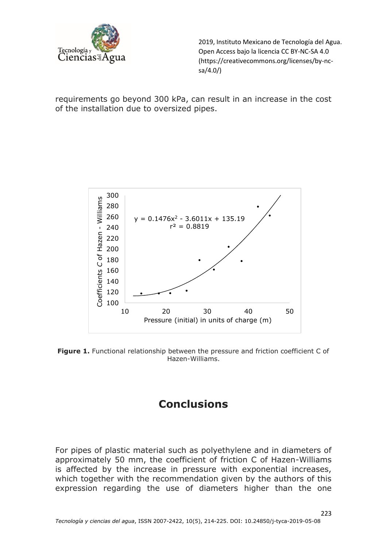

requirements go beyond 300 kPa, can result in an increase in the cost of the installation due to oversized pipes.



**Figure 1.** Functional relationship between the pressure and friction coefficient C of Hazen-Williams.

# **Conclusions**

For pipes of plastic material such as polyethylene and in diameters of approximately 50 mm, the coefficient of friction C of Hazen-Williams is affected by the increase in pressure with exponential increases, which together with the recommendation given by the authors of this expression regarding the use of diameters higher than the one